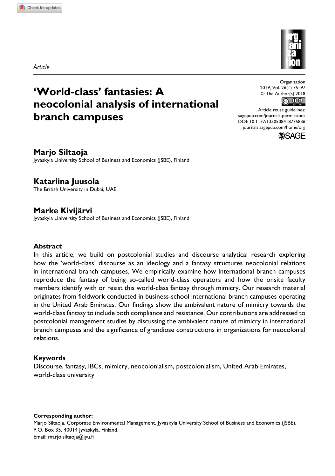*Article*



# **'World-class' fantasies: A neocolonial analysis of international branch campuses**

Organization 2019, Vol. 26(1) 75 –97 © The Author(s) 2018



DOI: 10.1177/1350508418775836 Article reuse guidelines: sagepub.com/journals-permissions journals.sagepub.com/home/org



**Marjo Siltaoja**

Jyvaskyla University School of Business and Economics (JSBE), Finland

**Katariina Juusola** The British University in Dubai, UAE

**Marke Kivijärvi** Jyvaskyla University School of Business and Economics (JSBE), Finland

### **Abstract**

In this article, we build on postcolonial studies and discourse analytical research exploring how the 'world-class' discourse as an ideology and a fantasy structures neocolonial relations in international branch campuses. We empirically examine how international branch campuses reproduce the fantasy of being so-called world-class operators and how the onsite faculty members identify with or resist this world-class fantasy through mimicry. Our research material originates from fieldwork conducted in business-school international branch campuses operating in the United Arab Emirates. Our findings show the ambivalent nature of mimicry towards the world-class fantasy to include both compliance and resistance. Our contributions are addressed to postcolonial management studies by discussing the ambivalent nature of mimicry in international branch campuses and the significance of grandiose constructions in organizations for neocolonial relations.

### **Keywords**

Discourse, fantasy, IBCs, mimicry, neocolonialism, postcolonialism, United Arab Emirates, world-class university

**Corresponding author:** Marjo Siltaoja, Corporate Environmental Management, Jyvaskyla University School of Business and Economics (JSBE), P.O. Box 35, 40014 Jyväskylä, Finland. Email: marjo.siltaoja@jyu.fi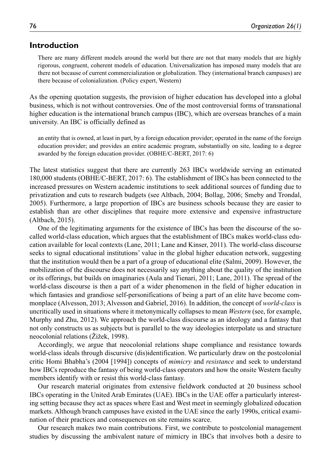## **Introduction**

There are many different models around the world but there are not that many models that are highly rigorous, congruent, coherent models of education. Universalization has imposed many models that are there not because of current commercialization or globalization. They (international branch campuses) are there because of colonialization. (Policy expert, Western)

As the opening quotation suggests, the provision of higher education has developed into a global business, which is not without controversies. One of the most controversial forms of transnational higher education is the international branch campus *(IBC)*, which are overseas branches of a main university. An IBC is officially defined as

an entity that is owned, at least in part, by a foreign education provider; operated in the name of the foreign education provider; and provides an entire academic program, substantially on site, leading to a degree awarded by the foreign education provider. (OBHE/C-BERT, 2017: 6)

The latest statistics suggest that there are currently 263 IBCs worldwide serving an estimated 180,000 students (OBHE/C-BERT, 2017: 6). The establishment of IBCs has been connected to the increased pressures on Western academic institutions to seek additional sources of funding due to privatization and cuts to research budgets (see Altbach, 2004; Bollag, 2006; Smeby and Trondal, 2005). Furthermore, a large proportion of IBCs are business schools because they are easier to establish than are other disciplines that require more extensive and expensive infrastructure (Altbach, 2015).

One of the legitimating arguments for the existence of IBCs has been the discourse of the socalled world-class education, which argues that the establishment of IBCs makes world-class education available for local contexts (Lane, 2011; Lane and Kinser, 2011). The world-class discourse seeks to signal educational institutions' value in the global higher education network, suggesting that the institution would then be a part of a group of educational elite (Salmi, 2009). However, the mobilization of the discourse does not necessarily say anything about the quality of the institution or its offerings, but builds on imaginaries (Aula and Tienari, 2011; Lane, 2011). The spread of the world-class discourse is then a part of a wider phenomenon in the field of higher education in which fantasies and grandiose self-personifications of being a part of an elite have become commonplace (Alvesson, 2013; Alvesson and Gabriel, 2016). In addition, the concept of *world-class* is uncritically used in situations where it metonymically collapses to mean *Western* (see, for example, Murphy and Zhu, 2012). We approach the world-class discourse as an ideology and a fantasy that not only constructs us as subjects but is parallel to the way ideologies interpolate us and structure neocolonial relations (Žižek, 1998).

Accordingly, we argue that neocolonial relations shape compliance and resistance towards world-class ideals through discursive (dis)identification. We particularly draw on the postcolonial critic Homi Bhabha's (2004 [1994]) concepts of *mimicry* and *resistance* and seek to understand how IBCs reproduce the fantasy of being world-class operators and how the onsite Western faculty members identify with or resist this world-class fantasy.

Our research material originates from extensive fieldwork conducted at 20 business school IBCs operating in the United Arab Emirates (UAE). IBCs in the UAE offer a particularly interesting setting because they act as spaces where East and West meet in seemingly globalized education markets. Although branch campuses have existed in the UAE since the early 1990s, critical examination of their practices and consequences on site remains scarce.

Our research makes two main contributions. First, we contribute to postcolonial management studies by discussing the ambivalent nature of mimicry in IBCs that involves both a desire to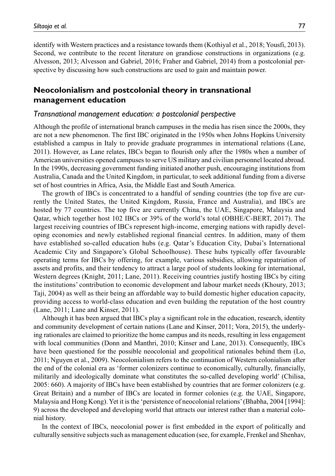identify with Western practices and a resistance towards them (Kothiyal et al., 2018; Yousfi, 2013). Second, we contribute to the recent literature on grandiose constructions in organizations (e.g. Alvesson, 2013; Alvesson and Gabriel, 2016; Fraher and Gabriel, 2014) from a postcolonial perspective by discussing how such constructions are used to gain and maintain power.

## **Neocolonialism and postcolonial theory in transnational management education**

#### *Transnational management education: a postcolonial perspective*

Although the profile of international branch campuses in the media has risen since the 2000s, they are not a new phenomenon. The first IBC originated in the 1950s when Johns Hopkins University established a campus in Italy to provide graduate programmes in international relations (Lane, 2011). However, as Lane relates, IBCs began to flourish only after the 1980s when a number of American universities opened campuses to serve US military and civilian personnel located abroad. In the 1990s, decreasing government funding initiated another push, encouraging institutions from Australia, Canada and the United Kingdom, in particular, to seek additional funding from a diverse set of host countries in Africa, Asia, the Middle East and South America.

The growth of IBCs is concentrated to a handful of sending countries (the top five are currently the United States, the United Kingdom, Russia, France and Australia), and IBCs are hosted by 77 countries. The top five are currently China, the UAE, Singapore, Malaysia and Qatar, which together host 102 IBCs or 39% of the world's total (OBHE/C-BERT, 2017). The largest receiving countries of IBCs represent high-income, emerging nations with rapidly developing economies and newly established regional financial centres. In addition, many of them have established so-called education hubs (e.g. Qatar's Education City, Dubai's International Academic City and Singapore's Global Schoolhouse). These hubs typically offer favourable operating terms for IBCs by offering, for example, various subsidies, allowing repatriation of assets and profits, and their tendency to attract a large pool of students looking for international, Western degrees (Knight, 2011; Lane, 2011). Receiving countries justify hosting IBCs by citing the institutions' contribution to economic development and labour market needs (Khoury, 2013; Taji, 2004) as well as their being an affordable way to build domestic higher education capacity, providing access to world-class education and even building the reputation of the host country (Lane, 2011; Lane and Kinser, 2011).

Although it has been argued that IBCs play a significant role in the education, research, identity and community development of certain nations (Lane and Kinser, 2011; Vora, 2015), the underlying rationales are claimed to prioritize the home campus and its needs, resulting in less engagement with local communities (Donn and Manthri, 2010; Kinser and Lane, 2013). Consequently, IBCs have been questioned for the possible neocolonial and geopolitical rationales behind them (Lo, 2011; Nguyen et al., 2009). Neocolonialism refers to the continuation of Western colonialism after the end of the colonial era as 'former colonizers continue to economically, culturally, financially, militarily and ideologically dominate what constitutes the so-called developing world' (Chilisa, 2005: 660). A majority of IBCs have been established by countries that are former colonizers (e.g. Great Britain) and a number of IBCs are located in former colonies (e.g. the UAE, Singapore, Malaysia and Hong Kong). Yet it is the 'persistence of neocolonial relations' (Bhabha, 2004 [1994]: 9) across the developed and developing world that attracts our interest rather than a material colonial history.

In the context of IBCs, neocolonial power is first embedded in the export of politically and culturally sensitive subjects such as management education (see, for example, Frenkel and Shenhav,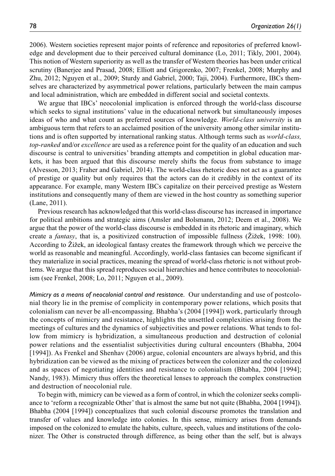2006). Western societies represent major points of reference and repositories of preferred knowledge and development due to their perceived cultural dominance (Lo, 2011; Tikly, 2001, 2004). This notion of Western superiority as well as the transfer of Western theories has been under critical scrutiny (Banerjee and Prasad, 2008; Elliott and Grigorenko, 2007; Frenkel, 2008; Murphy and Zhu, 2012; Nguyen et al., 2009; Sturdy and Gabriel, 2000; Taji, 2004). Furthermore, IBCs themselves are characterized by asymmetrical power relations, particularly between the main campus and local administration, which are embedded in different social and societal contexts.

We argue that IBCs' neocolonial implication is enforced through the world-class discourse which seeks to signal institutions' value in the educational network but simultaneously imposes ideas of who and what count as preferred sources of knowledge. *World-class university* is an ambiguous term that refers to an acclaimed position of the university among other similar institutions and is often supported by international ranking status. Although terms such as *world-class, top-ranked* and/or *excellence* are used as a reference point for the quality of an education and such discourse is central to universities' branding attempts and competition in global education markets, it has been argued that this discourse merely shifts the focus from substance to image (Alvesson, 2013; Fraher and Gabriel, 2014). The world-class rhetoric does not act as a guarantee of prestige or quality but only requires that the actors can do it credibly in the context of its appearance. For example, many Western IBCs capitalize on their perceived prestige as Western institutions and consequently many of them are viewed in the host country as something superior (Lane, 2011).

Previous research has acknowledged that this world-class discourse has increased in importance for political ambitions and strategic aims (Amsler and Bolsmann, 2012; Deem et al., 2008). We argue that the power of the world-class discourse is embedded in its rhetoric and imaginary, which create a *fantasy*, that is, a positivized construction of impossible fullness (Žižek, 1998: 100). According to Žižek, an ideological fantasy creates the framework through which we perceive the world as reasonable and meaningful. Accordingly, world-class fantasies can become significant if they materialize in social practices, meaning the spread of world-class rhetoric is not without problems. We argue that this spread reproduces social hierarchies and hence contributes to neocolonialism (see Frenkel, 2008; Lo, 2011; Nguyen et al., 2009).

*Mimicry as a means of neocolonial control and resistance.* Our understanding and use of postcolonial theory lie in the premise of complicity in contemporary power relations, which posits that colonialism can never be all-encompassing. Bhabha's (2004 [1994]) work, particularly through the concepts of mimicry and resistance, highlights the unsettled complexities arising from the meetings of cultures and the dynamics of subjectivities and power relations. What tends to follow from mimicry is hybridization, a simultaneous production and destruction of colonial power relations and the essentialist subjectivities during cultural encounters (Bhabha, 2004 [1994]). As Frenkel and Shenhav (2006) argue, colonial encounters are always hybrid, and this hybridization can be viewed as the mixing of practices between the colonizer and the colonized and as spaces of negotiating identities and resistance to colonialism (Bhabha, 2004 [1994]; Nandy, 1983). Mimicry thus offers the theoretical lenses to approach the complex construction and destruction of neocolonial rule.

To begin with, mimicry can be viewed as a form of control, in which the colonizer seeks compliance to 'reform a recognizable Other' that is almost the same but not quite (Bhabha, 2004 [1994]). Bhabha (2004 [1994]) conceptualizes that such colonial discourse promotes the translation and transfer of values and knowledge into colonies. In this sense, mimicry arises from demands imposed on the colonized to emulate the habits, culture, speech, values and institutions of the colonizer. The Other is constructed through difference, as being other than the self, but is always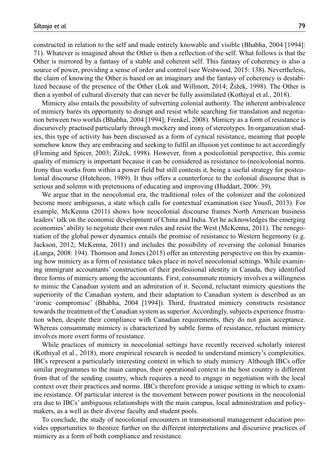constructed in relation to the self and made entirely knowable and visible (Bhabha, 2004 [1994]: 71). Whatever is imagined about the Other is then a reflection of the self. What follows is that the Other is mirrored by a fantasy of a stable and coherent self. This fantasy of coherency is also a source of power, providing a sense of order and control (see Westwood, 2015: 138). Nevertheless, the claim of knowing the Other is based on an imaginary and the fantasy of coherency is destabilized because of the presence of the Other (Lok and Willmott, 2014; Žižek, 1998). The Other is then a symbol of cultural diversity that can never be fully assimilated (Kothiyal et al., 2018).

Mimicry also entails the possibility of subverting colonial authority. The inherent ambivalence of mimicry bares its opportunity to disrupt and resist while searching for translation and negotiation between two worlds (Bhabha, 2004 [1994]; Frenkel, 2008). Mimicry as a form of resistance is discursively practised particularly through mockery and irony of stereotypes. In organization studies, this type of activity has been discussed as a form of cynical resistance, meaning that people somehow know they are embracing and seeking to fulfil an illusion yet continue to act accordingly (Fleming and Spicer, 2003; Žižek, 1998). However, from a postcolonial perspective, this comic quality of mimicry is important because it can be considered as resistance to (neo)colonial norms. Irony thus works from within a power field but still contests it, being a useful strategy for postcolonial discourse (Hutcheon, 1989). It thus offers a counterforce to the colonial discourse that is serious and solemn with pretensions of educating and improving (Huddart, 2006: 39).

We argue that in the neocolonial era, the traditional roles of the colonizer and the colonized become more ambiguous, a state which calls for contextual examination (see Yousfi, 2013). For example, McKenna (2011) shows how neocolonial discourse frames North American business leaders' talk on the economic development of China and India. Yet he acknowledges the emerging economies' ability to negotiate their own rules and resist the West (McKenna, 2011). The renegotiation of the global power dynamics entails the promise of resistance to Western hegemony (e.g. Jackson, 2012; McKenna, 2011) and includes the possibility of reversing the colonial binaries (Lunga, 2008: 194). Thomson and Jones (2015) offer an interesting perspective on this by examining how mimicry as a form of resistance takes place in novel neocolonial settings. While examining immigrant accountants' construction of their professional identity in Canada, they identified three forms of mimicry among the accountants. First, consummate mimicry involves a willingness to mimic the Canadian system and an admiration of it. Second, reluctant mimicry questions the superiority of the Canadian system, and their adaptation to Canadian system is described as an 'ironic compromise' (Bhabha, 2004 [1994]). Third, frustrated mimicry constructs resistance towards the treatment of the Canadian system as superior. Accordingly, subjects experience frustration when, despite their compliance with Canadian requirements, they do not gain acceptance. Whereas consummate mimicry is characterized by subtle forms of resistance, reluctant mimicry involves more overt forms of resistance.

While practices of mimicry in neocolonial settings have recently received scholarly interest (Kothiyal et al., 2018), more empirical research is needed to understand mimicry's complexities. IBCs represent a particularly interesting context in which to study mimicry. Although IBCs offer similar programmes to the main campus, their operational context in the host country is different from that of the sending country, which requires a need to engage in negotiation with the local context over their practices and norms. IBCs therefore provide a unique setting in which to examine resistance. Of particular interest is the movement between power positions in the neocolonial era due to IBCs' ambiguous relationships with the main campus, local administration and policymakers, as a well as their diverse faculty and student pools.

To conclude, the study of neocolonial encounters in transnational management education provides opportunities to theorize further on the different interpretations and discursive practices of mimicry as a form of both compliance and resistance.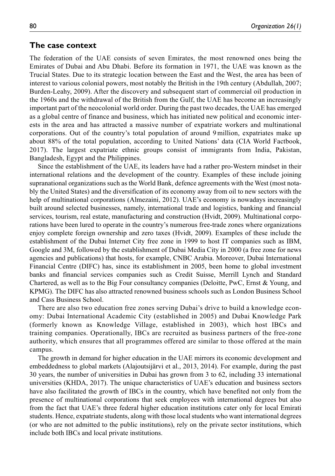#### **The case context**

The federation of the UAE consists of seven Emirates, the most renowned ones being the Emirates of Dubai and Abu Dhabi. Before its formation in 1971, the UAE was known as the Trucial States. Due to its strategic location between the East and the West, the area has been of interest to various colonial powers, most notably the British in the 19th century (Abdullah, 2007; Burden-Leahy, 2009). After the discovery and subsequent start of commercial oil production in the 1960s and the withdrawal of the British from the Gulf, the UAE has become an increasingly important part of the neocolonial world order. During the past two decades, the UAE has emerged as a global centre of finance and business, which has initiated new political and economic interests in the area and has attracted a massive number of expatriate workers and multinational corporations. Out of the country's total population of around 9 million, expatriates make up about 88% of the total population, according to United Nations' data (CIA World Factbook, 2017). The largest expatriate ethnic groups consist of immigrants from India, Pakistan, Bangladesh, Egypt and the Philippines.

Since the establishment of the UAE, its leaders have had a rather pro-Western mindset in their international relations and the development of the country. Examples of these include joining supranational organizations such as the World Bank, defence agreements with the West (most notably the United States) and the diversification of its economy away from oil to new sectors with the help of multinational corporations (Almezaini, 2012). UAE's economy is nowadays increasingly built around selected businesses, namely, international trade and logistics, banking and financial services, tourism, real estate, manufacturing and construction (Hvidt, 2009). Multinational corporations have been lured to operate in the country's numerous free-trade zones where organizations enjoy complete foreign ownership and zero taxes (Hvidt, 2009). Examples of these include the establishment of the Dubai Internet City free zone in 1999 to host IT companies such as IBM, Google and 3M, followed by the establishment of Dubai Media City in 2000 (a free zone for news agencies and publications) that hosts, for example, CNBC Arabia. Moreover, Dubai International Financial Centre (DIFC) has, since its establishment in 2005, been home to global investment banks and financial services companies such as Credit Suisse, Merrill Lynch and Standard Chartered, as well as to the Big Four consultancy companies (Deloitte, PwC, Ernst & Young, and KPMG). The DIFC has also attracted renowned business schools such as London Business School and Cass Business School.

There are also two education free zones serving Dubai's drive to build a knowledge economy: Dubai International Academic City (established in 2005) and Dubai Knowledge Park (formerly known as Knowledge Village, established in 2003), which host IBCs and training companies. Operationally, IBCs are recruited as business partners of the free-zone authority, which ensures that all programmes offered are similar to those offered at the main campus.

The growth in demand for higher education in the UAE mirrors its economic development and embeddedness to global markets (Alajoutsijärvi et al., 2013, 2014). For example, during the past 30 years, the number of universities in Dubai has grown from 3 to 62, including 33 international universities (KHDA, 2017). The unique characteristics of UAE's education and business sectors have also facilitated the growth of IBCs in the country, which have benefited not only from the presence of multinational corporations that seek employees with international degrees but also from the fact that UAE's three federal higher education institutions cater only for local Emirati students. Hence, expatriate students, along with those local students who want international degrees (or who are not admitted to the public institutions), rely on the private sector institutions, which include both IBCs and local private institutions.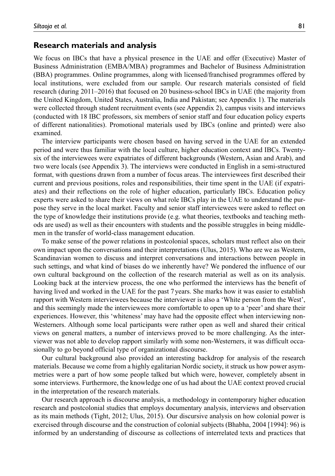#### **Research materials and analysis**

We focus on IBCs that have a physical presence in the UAE and offer (Executive) Master of Business Administration (EMBA/MBA) programmes and Bachelor of Business Administration (BBA) programmes. Online programmes, along with licensed/franchised programmes offered by local institutions, were excluded from our sample. Our research materials consisted of field research (during 2011–2016) that focused on 20 business-school IBCs in UAE (the majority from the United Kingdom, United States, Australia, India and Pakistan; see Appendix 1). The materials were collected through student recruitment events (see Appendix 2), campus visits and interviews (conducted with 18 IBC professors, six members of senior staff and four education policy experts of different nationalities). Promotional materials used by IBCs (online and printed) were also examined.

The interview participants were chosen based on having served in the UAE for an extended period and were thus familiar with the local culture, higher education context and IBCs. Twentysix of the interviewees were expatriates of different backgrounds (Western, Asian and Arab), and two were locals (see Appendix 3). The interviews were conducted in English in a semi-structured format, with questions drawn from a number of focus areas. The interviewees first described their current and previous positions, roles and responsibilities, their time spent in the UAE (if expatriates) and their reflections on the role of higher education, particularly IBCs. Education policy experts were asked to share their views on what role IBCs play in the UAE to understand the purpose they serve in the local market. Faculty and senior staff interviewees were asked to reflect on the type of knowledge their institutions provide (e.g. what theories, textbooks and teaching methods are used) as well as their encounters with students and the possible struggles in being middlemen in the transfer of world-class management education.

To make sense of the power relations in postcolonial spaces, scholars must reflect also on their own impact upon the conversations and their interpretations (Ulus, 2015). Who are we as Western, Scandinavian women to discuss and interpret conversations and interactions between people in such settings, and what kind of biases do we inherently have? We pondered the influence of our own cultural background on the collection of the research material as well as on its analysis. Looking back at the interview process, the one who performed the interviews has the benefit of having lived and worked in the UAE for the past 7 years. She marks how it was easier to establish rapport with Western interviewees because the interviewer is also a 'White person from the West', and this seemingly made the interviewees more comfortable to open up to a 'peer' and share their experiences. However, this 'whiteness' may have had the opposite effect when interviewing non-Westerners. Although some local participants were rather open as well and shared their critical views on general matters, a number of interviews proved to be more challenging. As the interviewer was not able to develop rapport similarly with some non-Westerners, it was difficult occasionally to go beyond official type of organizational discourse.

Our cultural background also provided an interesting backdrop for analysis of the research materials. Because we come from a highly egalitarian Nordic society, it struck us how power asymmetries were a part of how some people talked but which were, however, completely absent in some interviews. Furthermore, the knowledge one of us had about the UAE context proved crucial in the interpretation of the research materials.

Our research approach is discourse analysis, a methodology in contemporary higher education research and postcolonial studies that employs documentary analysis, interviews and observation as its main methods (Tight, 2012; Ulus, 2015). Our discursive analysis on how colonial power is exercised through discourse and the construction of colonial subjects (Bhabha, 2004 [1994]: 96) is informed by an understanding of discourse as collections of interrelated texts and practices that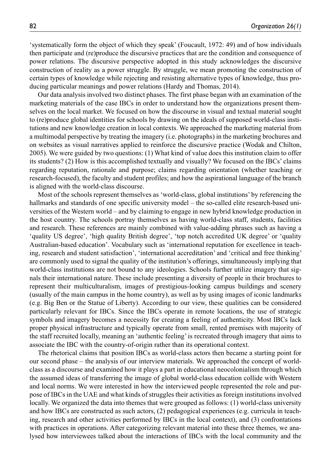'systematically form the object of which they speak' (Foucault, 1972: 49) and of how individuals then participate and (re)produce the discursive practices that are the condition and consequence of power relations. The discursive perspective adopted in this study acknowledges the discursive construction of reality as a power struggle. By struggle, we mean promoting the construction of certain types of knowledge while rejecting and resisting alternative types of knowledge, thus producing particular meanings and power relations (Hardy and Thomas, 2014).

Our data analysis involved two distinct phases. The first phase began with an examination of the marketing materials of the case IBCs in order to understand how the organizations present themselves on the local market. We focused on how the discourse in visual and textual material sought to (re)produce global identities for schools by drawing on the ideals of supposed world-class institutions and new knowledge creation in local contexts. We approached the marketing material from a multimodal perspective by treating the imagery (i.e. photographs) in the marketing brochures and on websites as visual narratives applied to reinforce the discursive practice (Wodak and Chilton, 2005). We were guided by two questions: (1) What kind of value does this institution claim to offer its students? (2) How is this accomplished textually and visually? We focused on the IBCs' claims regarding reputation, rationale and purpose; claims regarding orientation (whether teaching or research-focused), the faculty and student profiles; and how the aspirational language of the branch is aligned with the world-class discourse.

Most of the schools represent themselves as 'world-class, global institutions' by referencing the hallmarks and standards of one specific university model – the so-called elite research-based universities of the Western world – and by claiming to engage in new hybrid knowledge production in the host country. The schools portray themselves as having world-class staff, students, facilities and research. These references are mainly combined with value-adding phrases such as having a 'quality US degree', 'high quality British degree', 'top notch accredited UK degree' or 'quality Australian-based education'. Vocabulary such as 'international reputation for excellence in teaching, research and student satisfaction', 'international accreditation' and 'critical and free thinking' are commonly used to signal the quality of the institution's offerings, simultaneously implying that world-class institutions are not bound to any ideologies. Schools further utilize imagery that signals their international nature. These include presenting a diversity of people in their brochures to represent their multiculturalism, images of prestigious-looking campus buildings and scenery (usually of the main campus in the home country), as well as by using images of iconic landmarks (e.g. Big Ben or the Statue of Liberty). According to our view, these qualities can be considered particularly relevant for IBCs. Since the IBCs operate in remote locations, the use of strategic symbols and imagery becomes a necessity for creating a feeling of authenticity. Most IBCs lack proper physical infrastructure and typically operate from small, rented premises with majority of the staff recruited locally, meaning an 'authentic feeling' is recreated through imagery that aims to associate the IBC with the country-of-origin rather than its operational context.

The rhetorical claims that position IBCs as world-class actors then became a starting point for our second phase – the analysis of our interview materials. We approached the concept of worldclass as a discourse and examined how it plays a part in educational neocolonialism through which the assumed ideas of transferring the image of global world-class education collide with Western and local norms. We were interested in how the interviewed people represented the role and purpose of IBCs in the UAE and what kinds of struggles their activities as foreign institutions involved locally. We organized the data into themes that were grouped as follows: (1) world-class university and how IBCs are constructed as such actors, (2) pedagogical experiences (e.g. curricula in teaching, research and other activities performed by IBCs in the local context), and (3) confrontations with practices in operations. After categorizing relevant material into these three themes, we analysed how interviewees talked about the interactions of IBCs with the local community and the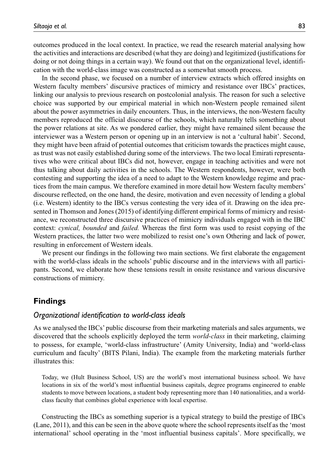outcomes produced in the local context. In practice, we read the research material analysing how the activities and interactions are described (what they are doing) and legitimized (justifications for doing or not doing things in a certain way). We found out that on the organizational level, identification with the world-class image was constructed as a somewhat smooth process.

In the second phase, we focused on a number of interview extracts which offered insights on Western faculty members' discursive practices of mimicry and resistance over IBCs' practices, linking our analysis to previous research on postcolonial analysis. The reason for such a selective choice was supported by our empirical material in which non-Western people remained silent about the power asymmetries in daily encounters. Thus, in the interviews, the non-Western faculty members reproduced the official discourse of the schools, which naturally tells something about the power relations at site. As we pondered earlier, they might have remained silent because the interviewer was a Western person or opening up in an interview is not a 'cultural habit'. Second, they might have been afraid of potential outcomes that criticism towards the practices might cause, as trust was not easily established during some of the interviews. The two local Emirati representatives who were critical about IBCs did not, however, engage in teaching activities and were not thus talking about daily activities in the schools. The Western respondents, however, were both contesting and supporting the idea of a need to adapt to the Western knowledge regime and practices from the main campus. We therefore examined in more detail how Western faculty members' discourse reflected, on the one hand, the desire, motivation and even necessity of lending a global (i.e. Western) identity to the IBCs versus contesting the very idea of it. Drawing on the idea presented in Thomson and Jones (2015) of identifying different empirical forms of mimicry and resistance, we reconstructed three discursive practices of mimicry individuals engaged with in the IBC context: *cynical, bounded* and *failed.* Whereas the first form was used to resist copying of the Western practices, the latter two were mobilized to resist one's own Othering and lack of power, resulting in enforcement of Western ideals.

We present our findings in the following two main sections. We first elaborate the engagement with the world-class ideals in the schools' public discourse and in the interviews with all participants. Second, we elaborate how these tensions result in onsite resistance and various discursive constructions of mimicry.

### **Findings**

#### *Organizational identification to world-class ideals*

As we analysed the IBCs' public discourse from their marketing materials and sales arguments, we discovered that the schools explicitly deployed the term *world-class* in their marketing, claiming to possess, for example, 'world-class infrastructure' (Amity University, India) and 'world-class curriculum and faculty' (BITS Pilani, India). The example from the marketing materials further illustrates this:

Today, we (Hult Business School, US) are the world's most international business school. We have locations in six of the world's most influential business capitals, degree programs engineered to enable students to move between locations, a student body representing more than 140 nationalities, and a worldclass faculty that combines global experience with local expertise.

Constructing the IBCs as something superior is a typical strategy to build the prestige of IBCs (Lane, 2011), and this can be seen in the above quote where the school represents itself as the 'most international' school operating in the 'most influential business capitals'. More specifically, we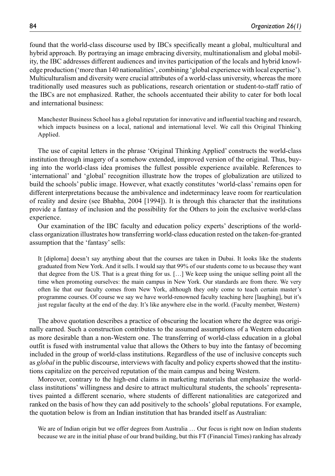found that the world-class discourse used by IBCs specifically meant a global, multicultural and hybrid approach. By portraying an image embracing diversity, multinationalism and global mobility, the IBC addresses different audiences and invites participation of the locals and hybrid knowledge production ('more than 140 nationalities', combining 'global experience with local expertise'). Multiculturalism and diversity were crucial attributes of a world-class university, whereas the more traditionally used measures such as publications, research orientation or student-to-staff ratio of the IBCs are not emphasized. Rather, the schools accentuated their ability to cater for both local and international business:

Manchester Business School has a global reputation for innovative and influential teaching and research, which impacts business on a local, national and international level. We call this Original Thinking Applied.

The use of capital letters in the phrase 'Original Thinking Applied' constructs the world-class institution through imagery of a somehow extended, improved version of the original. Thus, buying into the world-class idea promises the fullest possible experience available. References to 'international' and 'global' recognition illustrate how the tropes of globalization are utilized to build the schools' public image. However, what exactly constitutes 'world-class' remains open for different interpretations because the ambivalence and indeterminacy leave room for rearticulation of reality and desire (see Bhabha, 2004 [1994]). It is through this character that the institutions provide a fantasy of inclusion and the possibility for the Others to join the exclusive world-class experience.

Our examination of the IBC faculty and education policy experts' descriptions of the worldclass organization illustrates how transferring world-class education rested on the taken-for-granted assumption that the 'fantasy' sells:

It [diploma] doesn't say anything about that the courses are taken in Dubai. It looks like the students graduated from New York. And it sells. I would say that 99% of our students come to us because they want that degree from the US. That is a great thing for us. […] We keep using the unique selling point all the time when promoting ourselves: the main campus in New York. Our standards are from there. We very often lie that our faculty comes from New York, although they only come to teach certain master's programme courses. Of course we say we have world-renowned faculty teaching here [laughing], but it's just regular faculty at the end of the day. It's like anywhere else in the world. (Faculty member, Western)

The above quotation describes a practice of obscuring the location where the degree was originally earned. Such a construction contributes to the assumed assumptions of a Western education as more desirable than a non-Western one. The transferring of world-class education in a global outfit is fused with instrumental value that allows the Others to buy into the fantasy of becoming included in the group of world-class institutions. Regardless of the use of inclusive concepts such as *global* in the public discourse, interviews with faculty and policy experts showed that the institutions capitalize on the perceived reputation of the main campus and being Western.

Moreover, contrary to the high-end claims in marketing materials that emphasize the worldclass institutions' willingness and desire to attract multicultural students, the schools' representatives painted a different scenario, where students of different nationalities are categorized and ranked on the basis of how they can add positively to the schools' global reputations. For example, the quotation below is from an Indian institution that has branded itself as Australian:

We are of Indian origin but we offer degrees from Australia ... Our focus is right now on Indian students because we are in the initial phase of our brand building, but this FT (Financial Times) ranking has already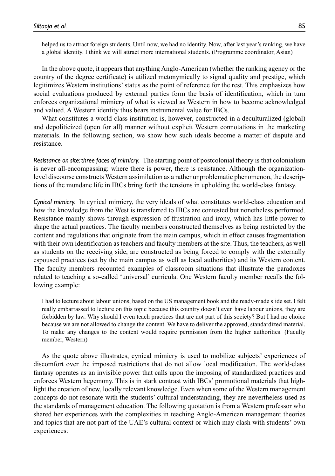helped us to attract foreign students. Until now, we had no identity. Now, after last year's ranking, we have a global identity. I think we will attract more international students. (Programme coordinator, Asian)

In the above quote, it appears that anything Anglo-American (whether the ranking agency or the country of the degree certificate) is utilized metonymically to signal quality and prestige, which legitimizes Western institutions' status as the point of reference for the rest. This emphasizes how social evaluations produced by external parties form the basis of identification, which in turn enforces organizational mimicry of what is viewed as Western in how to become acknowledged and valued. A Western identity thus bears instrumental value for IBCs.

What constitutes a world-class institution is, however, constructed in a deculturalized (global) and depoliticized (open for all) manner without explicit Western connotations in the marketing materials. In the following section, we show how such ideals become a matter of dispute and resistance.

*Resistance on site: three faces of mimicry.* The starting point of postcolonial theory is that colonialism is never all-encompassing: where there is power, there is resistance. Although the organizationlevel discourse constructs Western assimilation as a rather unproblematic phenomenon, the descriptions of the mundane life in IBCs bring forth the tensions in upholding the world-class fantasy.

*Cynical mimicry.* In cynical mimicry, the very ideals of what constitutes world-class education and how the knowledge from the West is transferred to IBCs are contested but nonetheless performed. Resistance mainly shows through expression of frustration and irony, which has little power to shape the actual practices. The faculty members constructed themselves as being restricted by the content and regulations that originate from the main campus, which in effect causes fragmentation with their own identification as teachers and faculty members at the site. Thus, the teachers, as well as students on the receiving side, are constructed as being forced to comply with the externally espoused practices (set by the main campus as well as local authorities) and its Western content. The faculty members recounted examples of classroom situations that illustrate the paradoxes related to teaching a so-called 'universal' curricula. One Western faculty member recalls the following example:

I had to lecture about labour unions, based on the US management book and the ready-made slide set. I felt really embarrassed to lecture on this topic because this country doesn't even have labour unions, they are forbidden by law. Why should I even teach practices that are not part of this society? But I had no choice because we are not allowed to change the content. We have to deliver the approved, standardized material. To make any changes to the content would require permission from the higher authorities. (Faculty member, Western)

As the quote above illustrates, cynical mimicry is used to mobilize subjects' experiences of discomfort over the imposed restrictions that do not allow local modification. The world-class fantasy operates as an invisible power that calls upon the imposing of standardized practices and enforces Western hegemony. This is in stark contrast with IBCs' promotional materials that highlight the creation of new, locally relevant knowledge. Even when some of the Western management concepts do not resonate with the students' cultural understanding, they are nevertheless used as the standards of management education. The following quotation is from a Western professor who shared her experiences with the complexities in teaching Anglo-American management theories and topics that are not part of the UAE's cultural context or which may clash with students' own experiences: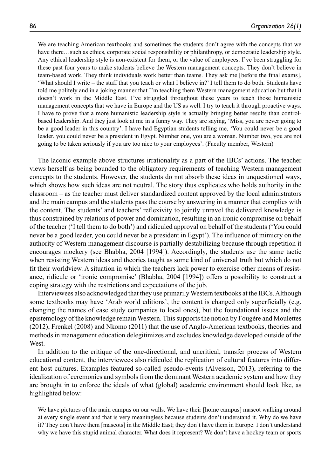We are teaching American textbooks and sometimes the students don't agree with the concepts that we have there…such as ethics, corporate social responsibility or philanthropy, or democratic leadership style. Any ethical leadership style is non-existent for them, or the value of employees. I've been struggling for these past four years to make students believe the Western management concepts. They don't believe in team-based work. They think individuals work better than teams. They ask me [before the final exams], 'What should I write – the stuff that you teach or what I believe in?' I tell them to do both. Students have told me politely and in a joking manner that I'm teaching them Western management education but that it doesn't work in the Middle East. I've struggled throughout these years to teach those humanistic management concepts that we have in Europe and the US as well. I try to teach it through proactive ways. I have to prove that a more humanistic leadership style is actually bringing better results than controlbased leadership. And they just look at me in a funny way. They are saying, 'Miss, you are never going to be a good leader in this country'. I have had Egyptian students telling me, 'You could never be a good leader, you could never be a president in Egypt. Number one, you are a woman. Number two, you are not going to be taken seriously if you are too nice to your employees'. (Faculty member, Western)

The laconic example above structures irrationality as a part of the IBCs' actions. The teacher views herself as being bounded to the obligatory requirements of teaching Western management concepts to the students. However, the students do not absorb these ideas in unquestioned ways, which shows how such ideas are not neutral. The story thus explicates who holds authority in the classroom – as the teacher must deliver standardized content approved by the local administrators and the main campus and the students pass the course by answering in a manner that complies with the content. The students' and teachers' reflexivity to jointly unravel the delivered knowledge is thus constrained by relations of power and domination, resulting in an ironic compromise on behalf of the teacher ('I tell them to do both') and ridiculed approval on behalf of the students ('You could never be a good leader, you could never be a president in Egypt'). The influence of mimicry on the authority of Western management discourse is partially destabilizing because through repetition it encourages mockery (see Bhabha, 2004 [1994]). Accordingly, the students use the same tactic when resisting Western ideas and theories taught as some kind of universal truth but which do not fit their worldview. A situation in which the teachers lack power to exercise other means of resistance, ridicule or 'ironic compromise' (Bhabha, 2004 [1994]) offers a possibility to construct a coping strategy with the restrictions and expectations of the job.

Interviewees also acknowledged that they use primarily Western textbooks at the IBCs. Although some textbooks may have 'Arab world editions', the content is changed only superficially (e.g. changing the names of case study companies to local ones), but the foundational issues and the epistemology of the knowledge remain Western. This supports the notion by Fougère and Moulettes (2012), Frenkel (2008) and Nkomo (2011) that the use of Anglo-American textbooks, theories and methods in management education delegitimizes and excludes knowledge developed outside of the West.

In addition to the critique of the one-directional, and uncritical, transfer process of Western educational content, the interviewees also ridiculed the replication of cultural features into different host cultures. Examples featured so-called pseudo-events (Alvesson, 2013), referring to the idealization of ceremonies and symbols from the dominant Western academic system and how they are brought in to enforce the ideals of what (global) academic environment should look like, as highlighted below:

We have pictures of the main campus on our walls. We have their [home campus] mascot walking around at every single event and that is very meaningless because students don't understand it. Why do we have it? They don't have them [mascots] in the Middle East; they don't have them in Europe. I don't understand why we have this stupid animal character. What does it represent? We don't have a hockey team or sports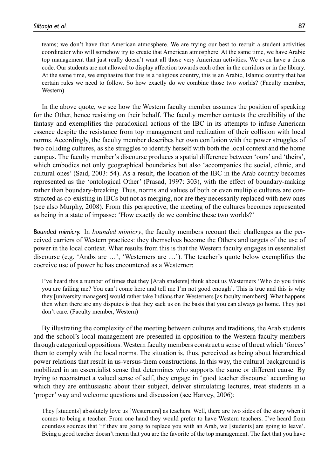teams; we don't have that American atmosphere. We are trying our best to recruit a student activities coordinator who will somehow try to create that American atmosphere. At the same time, we have Arabic top management that just really doesn't want all those very American activities. We even have a dress code. Our students are not allowed to display affection towards each other in the corridors or in the library. At the same time, we emphasize that this is a religious country, this is an Arabic, Islamic country that has certain rules we need to follow. So how exactly do we combine those two worlds? (Faculty member, Western)

In the above quote, we see how the Western faculty member assumes the position of speaking for the Other, hence resisting on their behalf. The faculty member contests the credibility of the fantasy and exemplifies the paradoxical actions of the IBC in its attempts to infuse American essence despite the resistance from top management and realization of their collision with local norms. Accordingly, the faculty member describes her own confusion with the power struggles of two colliding cultures, as she struggles to identify herself with both the local context and the home campus. The faculty member's discourse produces a spatial difference between 'ours' and 'theirs', which embodies not only geographical boundaries but also 'accompanies the social, ethnic, and cultural ones' (Said, 2003: 54). As a result, the location of the IBC in the Arab country becomes represented as the 'ontological Other' (Prasad, 1997: 303), with the effect of boundary-making rather than boundary-breaking. Thus, norms and values of both or even multiple cultures are constructed as co-existing in IBCs but not as merging, nor are they necessarily replaced with new ones (see also Murphy, 2008). From this perspective, the meeting of the cultures becomes represented as being in a state of impasse: 'How exactly do we combine these two worlds?'

*Bounded mimicry.* In *bounded mimicry*, the faculty members recount their challenges as the perceived carriers of Western practices: they themselves become the Others and targets of the use of power in the local context. What results from this is that the Western faculty engages in essentialist discourse (e.g. 'Arabs are …', 'Westerners are …'). The teacher's quote below exemplifies the coercive use of power he has encountered as a Westerner:

I've heard this a number of times that they [Arab students] think about us Westerners 'Who do you think you are failing me? You can't come here and tell me I'm not good enough'. This is true and this is why they [university managers] would rather take Indians than Westerners [as faculty members]. What happens then when there are any disputes is that they sack us on the basis that you can always go home. They just don't care. (Faculty member, Western)

By illustrating the complexity of the meeting between cultures and traditions, the Arab students and the school's local management are presented in opposition to the Western faculty members through categorical oppositions. Western faculty members construct a sense of threat which 'forces' them to comply with the local norms. The situation is, thus, perceived as being about hierarchical power relations that result in us-versus-them constructions. In this way, the cultural background is mobilized in an essentialist sense that determines who supports the same or different cause. By trying to reconstruct a valued sense of self, they engage in 'good teacher discourse' according to which they are enthusiastic about their subject, deliver stimulating lectures, treat students in a 'proper' way and welcome questions and discussion (see Harvey, 2006):

They [students] absolutely love us [Westerners] as teachers. Well, there are two sides of the story when it comes to being a teacher. From one hand they would prefer to have Western teachers. I've heard from countless sources that 'if they are going to replace you with an Arab, we [students] are going to leave'. Being a good teacher doesn't mean that you are the favorite of the top management. The fact that you have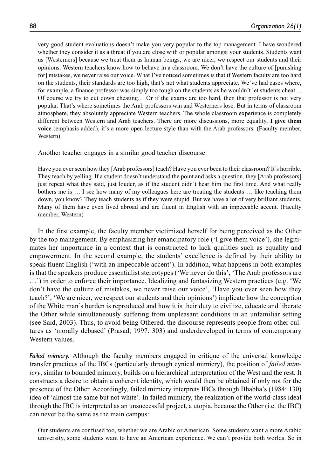very good student evaluations doesn't make you very popular to the top management. I have wondered whether they consider it as a threat if you are close with or popular amongst your students. Students want us [Westerners] because we treat them as human beings, we are nicer, we respect our students and their opinions. Western teachers know how to behave in a classroom. We don't have the culture of [punishing for] mistakes, we never raise our voice. What I've noticed sometimes is that if Western faculty are too hard on the students, their standards are too high, that's not what students appreciate. We've had cases where, for example, a finance professor was simply too tough on the students as he wouldn't let students cheat… Of course we try to cut down cheating… Or if the exams are too hard, then that professor is not very popular. That's where sometimes the Arab professors win and Westerners lose. But in terms of classroom atmosphere, they absolutely appreciate Western teachers. The whole classroom experience is completely different between Western and Arab teachers. There are more discussions, more equality, **I give them voice** (emphasis added), it's a more open lecture style than with the Arab professors. (Faculty member, Western)

Another teacher engages in a similar good teacher discourse:

Have you ever seen how they [Arab professors] teach? Have you ever been to their classroom? It's horrible. They teach by yelling. If a student doesn't understand the point and asks a question, they [Arab professors] just repeat what they said, just louder, as if the student didn't hear him the first time. And what really bothers me is … I see how many of my colleagues here are treating the students … like teaching them down, you know? They teach students as if they were stupid. But we have a lot of very brilliant students. Many of them have even lived abroad and are fluent in English with an impeccable accent. (Faculty member, Western)

In the first example, the faculty member victimized herself for being perceived as the Other by the top management. By emphasizing her emancipatory role ('I give them voice'), she legitimates her importance in a context that is constructed to lack qualities such as equality and empowerment. In the second example, the students' excellence is defined by their ability to speak fluent English ('with an impeccable accent'). In addition, what happens in both examples is that the speakers produce essentialist stereotypes ('We never do this', 'The Arab professors are …') in order to enforce their importance. Idealizing and fantasizing Western practices (e.g. 'We don't have the culture of mistakes, we never raise our voice', 'Have you ever seen how they teach?', 'We are nicer, we respect our students and their opinions') implicate how the conception of the White man's burden is reproduced and how it is their duty to civilize, educate and liberate the Other while simultaneously suffering from unpleasant conditions in an unfamiliar setting (see Said, 2003). Thus, to avoid being Othered, the discourse represents people from other cultures as 'morally debased' (Prasad, 1997: 303) and underdeveloped in terms of contemporary Western values.

*Failed mimicry.* Although the faculty members engaged in critique of the universal knowledge transfer practices of the IBCs (particularly through cynical mimicry), the position of *failed mimicry*, similar to bounded mimicry, builds on a hierarchical interpretation of the West and the rest. It constructs a desire to obtain a coherent identity, which would then be obtained if only not for the presence of the Other. Accordingly, failed mimicry interprets IBCs through Bhabha's (1984: 130) idea of 'almost the same but not white'. In failed mimicry, the realization of the world-class ideal through the IBC is interpreted as an unsuccessful project, a utopia, because the Other (i.e. the IBC) can never be the same as the main campus:

Our students are confused too, whether we are Arabic or American. Some students want a more Arabic university, some students want to have an American experience. We can't provide both worlds. So in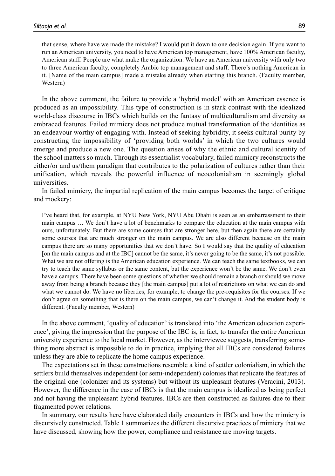that sense, where have we made the mistake? I would put it down to one decision again. If you want to run an American university, you need to have American top management, have 100% American faculty, American staff. People are what make the organization. We have an American university with only two to three American faculty, completely Arabic top management and staff. There's nothing American in it. [Name of the main campus] made a mistake already when starting this branch. (Faculty member, Western)

In the above comment, the failure to provide a 'hybrid model' with an American essence is produced as an impossibility. This type of construction is in stark contrast with the idealized world-class discourse in IBCs which builds on the fantasy of multiculturalism and diversity as embraced features. Failed mimicry does not produce mutual transformation of the identities as an endeavour worthy of engaging with. Instead of seeking hybridity, it seeks cultural purity by constructing the impossibility of 'providing both worlds' in which the two cultures would emerge and produce a new one. The question arises of why the ethnic and cultural identity of the school matters so much. Through its essentialist vocabulary, failed mimicry reconstructs the either/or and us/them paradigm that contributes to the polarization of cultures rather than their unification, which reveals the powerful influence of neocolonialism in seemingly global universities.

In failed mimicry, the impartial replication of the main campus becomes the target of critique and mockery:

I've heard that, for example, at NYU New York, NYU Abu Dhabi is seen as an embarrassment to their main campus … We don't have a lot of benchmarks to compare the education at the main campus with ours, unfortunately. But there are some courses that are stronger here, but then again there are certainly some courses that are much stronger on the main campus. We are also different because on the main campus there are so many opportunities that we don't have. So I would say that the quality of education [on the main campus and at the IBC] cannot be the same, it's never going to be the same, it's not possible. What we are not offering is the American education experience. We can teach the same textbooks, we can try to teach the same syllabus or the same content, but the experience won't be the same. We don't even have a campus. There have been some questions of whether we should remain a branch or should we move away from being a branch because they [the main campus] put a lot of restrictions on what we can do and what we cannot do. We have no liberties, for example, to change the pre-requisites for the courses. If we don't agree on something that is there on the main campus, we can't change it. And the student body is different. (Faculty member, Western)

In the above comment, 'quality of education' is translated into 'the American education experience', giving the impression that the purpose of the IBC is, in fact, to transfer the entire American university experience to the local market. However, as the interviewee suggests, transferring something more abstract is impossible to do in practice, implying that all IBCs are considered failures unless they are able to replicate the home campus experience.

The expectations set in these constructions resemble a kind of settler colonialism, in which the settlers build themselves independent (or semi-independent) colonies that replicate the features of the original one (colonizer and its systems) but without its unpleasant features (Veracini, 2013). However, the difference in the case of IBCs is that the main campus is idealized as being perfect and not having the unpleasant hybrid features. IBCs are then constructed as failures due to their fragmented power relations.

In summary, our results here have elaborated daily encounters in IBCs and how the mimicry is discursively constructed. Table 1 summarizes the different discursive practices of mimicry that we have discussed, showing how the power, compliance and resistance are moving targets.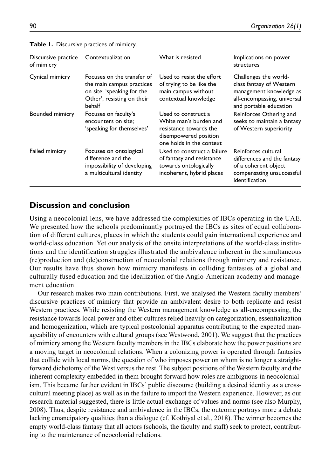| Discursive practice<br>of mimicry | Contextualization                                                                                                             | What is resisted                                                                                                             | Implications on power<br>structures                                                                                                   |
|-----------------------------------|-------------------------------------------------------------------------------------------------------------------------------|------------------------------------------------------------------------------------------------------------------------------|---------------------------------------------------------------------------------------------------------------------------------------|
| Cynical mimicry                   | Focuses on the transfer of<br>the main campus practices<br>on site; 'speaking for the<br>Other', resisting on their<br>behalf | Used to resist the effort<br>of trying to be like the<br>main campus without<br>contextual knowledge                         | Challenges the world-<br>class fantasy of Western<br>management knowledge as<br>all-encompassing, universal<br>and portable education |
| Bounded mimicry                   | Focuses on faculty's<br>encounters on site:<br>'speaking for themselves'                                                      | Used to construct a<br>White man's burden and<br>resistance towards the<br>disempowered position<br>one holds in the context | Reinforces Othering and<br>seeks to maintain a fantasy<br>of Western superiority                                                      |
| Failed mimicry                    | Focuses on ontological<br>difference and the<br>impossibility of developing<br>a multicultural identity                       | Used to construct a failure<br>of fantasy and resistance<br>towards ontologically<br>incoherent, hybrid places               | Reinforces cultural<br>differences and the fantasy<br>of a coherent object<br>compensating unsuccessful<br>identification             |

**Table 1.** Discursive practices of mimicry.

## **Discussion and conclusion**

Using a neocolonial lens, we have addressed the complexities of IBCs operating in the UAE. We presented how the schools predominantly portrayed the IBCs as sites of equal collaboration of different cultures, places in which the students could gain international experience and world-class education. Yet our analysis of the onsite interpretations of the world-class institutions and the identification struggles illustrated the ambivalence inherent in the simultaneous (re)production and (de)construction of neocolonial relations through mimicry and resistance. Our results have thus shown how mimicry manifests in colliding fantasies of a global and culturally fused education and the idealization of the Anglo-American academy and management education.

Our research makes two main contributions. First, we analysed the Western faculty members' discursive practices of mimicry that provide an ambivalent desire to both replicate and resist Western practices. While resisting the Western management knowledge as all-encompassing, the resistance towards local power and other cultures relied heavily on categorization, essentialization and homogenization, which are typical postcolonial apparatus contributing to the expected manageability of encounters with cultural groups (see Westwood, 2001). We suggest that the practices of mimicry among the Western faculty members in the IBCs elaborate how the power positions are a moving target in neocolonial relations. When a colonizing power is operated through fantasies that collide with local norms, the question of who imposes power on whom is no longer a straightforward dichotomy of the West versus the rest. The subject positions of the Western faculty and the inherent complexity embedded in them brought forward how roles are ambiguous in neocolonialism. This became further evident in IBCs' public discourse (building a desired identity as a crosscultural meeting place) as well as in the failure to import the Western experience. However, as our research material suggested, there is little actual exchange of values and norms (see also Murphy, 2008). Thus, despite resistance and ambivalence in the IBCs, the outcome portrays more a debate lacking emancipatory qualities than a dialogue (cf. Kothiyal et al., 2018). The winner becomes the empty world-class fantasy that all actors (schools, the faculty and staff) seek to protect, contributing to the maintenance of neocolonial relations.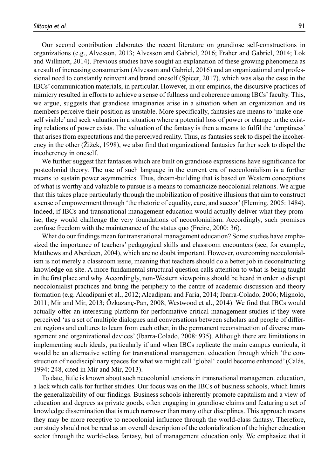Our second contribution elaborates the recent literature on grandiose self-constructions in organizations (e.g., Alvesson, 2013; Alvesson and Gabriel, 2016; Fraher and Gabriel, 2014; Lok and Willmott, 2014). Previous studies have sought an explanation of these growing phenomena as a result of increasing consumerism (Alvesson and Gabriel, 2016) and an organizational and professional need to constantly reinvent and brand oneself (Spicer, 2017), which was also the case in the IBCs' communication materials, in particular. However, in our empirics, the discursive practices of mimicry resulted in efforts to achieve a sense of fullness and coherence among IBCs' faculty. This, we argue, suggests that grandiose imaginaries arise in a situation when an organization and its members perceive their position as unstable. More specifically, fantasies are means to 'make oneself visible' and seek valuation in a situation where a potential loss of power or change in the existing relations of power exists. The valuation of the fantasy is then a means to fulfil the 'emptiness' that arises from expectations and the perceived reality. Thus, as fantasies seek to dispel the incoherency in the other (Žižek, 1998), we also find that organizational fantasies further seek to dispel the incoherency in oneself.

We further suggest that fantasies which are built on grandiose expressions have significance for postcolonial theory. The use of such language in the current era of neocolonialism is a further means to sustain power asymmetries. Thus, dream-building that is based on Western conceptions of what is worthy and valuable to pursue is a means to romanticize neocolonial relations. We argue that this takes place particularly through the mobilization of positive illusions that aim to construct a sense of empowerment through 'the rhetoric of equality, care, and succor' (Fleming, 2005: 1484). Indeed, if IBCs and transnational management education would actually deliver what they promise, they would challenge the very foundations of neocolonialism. Accordingly, such promises confuse freedom with the maintenance of the status quo (Freire, 2000: 36).

What do our findings mean for transnational management education? Some studies have emphasized the importance of teachers' pedagogical skills and classroom encounters (see, for example, Matthews and Aberdeen, 2004), which are no doubt important. However, overcoming neocolonialism is not merely a classroom issue, meaning that teachers should do a better job in deconstructing knowledge on site. A more fundamental structural question calls attention to what is being taught in the first place and why. Accordingly, non-Western viewpoints should be heard in order to disrupt neocolonialist practices and bring the periphery to the centre of academic discussion and theory formation (e.g. Alcadipani et al., 2012; Alcadipani and Faria, 2014; Ibarra-Colado, 2006; Mignolo, 2011; Mir and Mir, 2013; Özkazanç-Pan, 2008; Westwood et al., 2014). We find that IBCs would actually offer an interesting platform for performative critical management studies if they were perceived 'as a set of multiple dialogues and conversations between scholars and people of different regions and cultures to learn from each other, in the permanent reconstruction of diverse management and organizational devices' (Ibarra-Colado, 2008: 935). Although there are limitations in implementing such ideals, particularly if and when IBCs replicate the main campus curricula, it would be an alternative setting for transnational management education through which 'the construction of neodisciplinary spaces for what we might call 'global' could become enhanced' (Calás, 1994: 248, cited in Mir and Mir, 2013).

To date, little is known about such neocolonial tensions in transnational management education, a lack which calls for further studies. Our focus was on the IBCs of business schools, which limits the generalizability of our findings. Business schools inherently promote capitalism and a view of education and degrees as private goods, often engaging in grandiose claims and featuring a set of knowledge dissemination that is much narrower than many other disciplines. This approach means they may be more receptive to neocolonial influence through the world-class fantasy. Therefore, our study should not be read as an overall description of the colonialization of the higher education sector through the world-class fantasy, but of management education only. We emphasize that it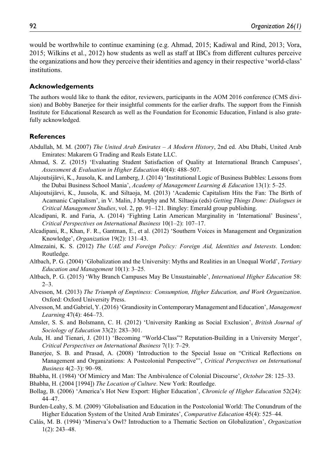would be worthwhile to continue examining (e.g. Ahmad, 2015; Kadiwal and Rind, 2013; Vora, 2015; Wilkins et al., 2012) how students as well as staff at IBCs from different cultures perceive the organizations and how they perceive their identities and agency in their respective 'world-class' institutions.

#### **Acknowledgements**

The authors would like to thank the editor, reviewers, participants in the AOM 2016 conference (CMS division) and Bobby Banerjee for their insightful comments for the earlier drafts. The support from the Finnish Institute for Educational Research as well as the Foundation for Economic Education, Finland is also gratefully acknowledged.

#### **References**

- Abdullah, M. M. (2007) *The United Arab Emirates A Modern History*, 2nd ed. Abu Dhabi, United Arab Emirates: Makarem G Trading and Reals Estate LLC.
- Ahmad, S. Z. (2015) 'Evaluating Student Satisfaction of Quality at International Branch Campuses', *Assessment & Evaluation in Higher Education* 40(4): 488–507.
- Alajoutsijärvi, K., Juusola, K. and Lamberg, J. (2014) 'Institutional Logic of Business Bubbles: Lessons from the Dubai Business School Mania', *Academy of Management Learning & Education* 13(1): 5–25.
- Alajoutsijärvi, K., Juusola, K. and Siltaoja, M. (2013) 'Academic Capitalism Hits the Fan: The Birth of Acamanic Capitalism', in V. Malin, J Murphy and M. Siltaoja (eds) *Getting Things Done: Dialogues in Critical Management Studies*, vol. 2, pp. 91–121. Bingley: Emerald group publishing.
- Alcadipani, R. and Faria, A. (2014) 'Fighting Latin American Marginality in 'International' Business', *Critical Perspectives on International Business* 10(1–2): 107–17.
- Alcadipani, R., Khan, F. R., Gantman, E., et al. (2012) 'Southern Voices in Management and Organization Knowledge', *Organization* 19(2): 131–43.
- Almezaini, K. S. (2012) *The UAE and Foreign Policy: Foreign Aid, Identities and Interests*. London: Routledge.
- Altbach, P. G. (2004) 'Globalization and the University: Myths and Realities in an Unequal World', *Tertiary Education and Management* 10(1): 3–25.
- Altbach, P. G. (2015) 'Why Branch Campuses May Be Unsustainable', *International Higher Education* 58: 2–3.
- Alvesson, M. (2013) *The Triumph of Emptiness: Consumption, Higher Education, and Work Organization*. Oxford: Oxford University Press.
- Alvesson, M. and Gabriel, Y. (2016) 'Grandiosity in Contemporary Management and Education', *Management Learning* 47(4): 464–73.
- Amsler, S. S. and Bolsmann, C. H. (2012) 'University Ranking as Social Exclusion', *British Journal of Sociology of Education* 33(2): 283–301.
- Aula, H. and Tienari, J. (2011) 'Becoming "World-Class"? Reputation-Building in a University Merger', *Critical Perspectives on International Business* 7(1): 7–29.
- Banerjee, S. B. and Prasad, A. (2008) 'Introduction to the Special Issue on "Critical Reflections on Management and Organizations: A Postcolonial Perspective"', *Critical Perspectives on International Business* 4(2–3): 90–98.
- Bhabha, H. (1984) 'Of Mimicry and Man: The Ambivalence of Colonial Discourse', *October* 28: 125–33.
- Bhabha, H. (2004 [1994]) *The Location of Culture*. New York: Routledge.
- Bollag, B. (2006) 'America's Hot New Export: Higher Education', *Chronicle of Higher Education* 52(24): 44–47.
- Burden-Leahy, S. M. (2009) 'Globalisation and Education in the Postcolonial World: The Conundrum of the Higher Education System of the United Arab Emirates', *Comparative Education* 45(4): 525–44.
- Calás, M. B. (1994) 'Minerva's Owl? Introduction to a Thematic Section on Globalization', *Organization* 1(2): 243–48.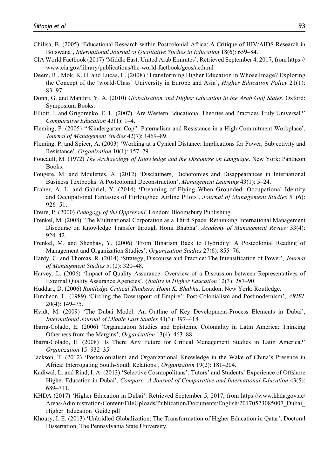- Chilisa, B. (2005) 'Educational Research within Postcolonial Africa: A Critique of HIV/AIDS Research in Botswana', *International Journal of Qualitative Studies in Education* 18(6): 659–84.
- CIA World Factbook (2017) 'Middle East: United Arab Emirates'. Retrieved September 4, 2017, from https:// www.cia.gov/library/publications/the-world-factbook/geos/ae.html
- Deem, R., Mok, K. H. and Lucas, L. (2008) 'Transforming Higher Education in Whose Image? Exploring the Concept of the 'world-Class' University in Europe and Asia', *Higher Education Policy* 21(1): 83–97.
- Donn, G. and Manthri, Y. A. (2010) *Globalisation and Higher Education in the Arab Gulf States*. Oxford: Symposium Books.
- Elliott, J. and Grigorenko, E. L. (2007) 'Are Western Educational Theories and Practices Truly Universal?' *Comparative Education* 43(1): 1–4.
- Fleming, P. (2005) '"Kindergarten Cop": Paternalism and Resistance in a High-Commitment Workplace', *Journal of Management Studies* 42(7): 1469–89.
- Fleming, P. and Spicer, A. (2003) 'Working at a Cynical Distance: Implications for Power, Subjectivity and Resistance', *Organization* 10(1): 157–79.
- Foucault, M. (1972) *The Archaeology of Knowledge and the Discourse on Language*. New York: Pantheon Books.
- Fougère, M. and Moulettes, A. (2012) 'Disclaimers, Dichotomies and Disappearances in International Business Textbooks: A Postcolonial Deconstruction', *Management Learning* 43(1): 5–24.
- Fraher, A. L. and Gabriel, Y. (2014) 'Dreaming of Flying When Grounded: Occupational Identity and Occupational Fantasies of Furloughed Airline Pilots', *Journal of Management Studies* 51(6): 926–51.
- Freire, P. (2000) *Pedagogy of the Oppressed*. London: Bloomsbury Publishing.
- Frenkel, M. (2008) 'The Multinational Corporation as a Third Space: Rethinking International Management Discourse on Knowledge Transfer through Homi Bhabha', *Academy of Management Review* 33(4): 924–42.
- Frenkel, M. and Shenhav, Y. (2006) 'From Binarism Back to Hybridity: A Postcolonial Reading of Management and Organization Studies', *Organization Studies* 27(6): 855–76.
- Hardy, C. and Thomas, R. (2014) 'Strategy, Discourse and Practice: The Intensification of Power', *Journal of Management Studies* 51(2): 320–48.
- Harvey, L. (2006) 'Impact of Quality Assurance: Overview of a Discussion between Representatives of External Quality Assurance Agencies', *Quality in Higher Education* 12(3): 287–90.
- Huddart, D. (2006) *Routledge Critical Thinkers: Homi K. Bhabha*. London; New York: Routledge.
- Hutcheon, L. (1989) 'Circling the Downspout of Empire': Post-Colonialism and Postmodernism', *ARIEL* 20(4): 149–75.
- Hvidt, M. (2009) 'The Dubai Model: An Outline of Key Development-Process Elements in Dubai', *International Journal of Middle East Studies* 41(3): 397–418.
- Ibarra-Colado, E. (2006) 'Organization Studies and Epistemic Coloniality in Latin America: Thinking Otherness from the Margins', *Organization* 13(4): 463–88.
- Ibarra-Colado, E. (2008) 'Is There Any Future for Critical Management Studies in Latin America?' *Organization* 15: 932–35.
- Jackson, T. (2012) 'Postcolonialism and Organizational Knowledge in the Wake of China's Presence in Africa: Interrogating South-South Relations', *Organization* 19(2): 181–204.
- Kadiwal, L. and Rind, I. A. (2013) 'Selective Cosmopolitans': Tutors' and Students' Experience of Offshore Higher Education in Dubai', *Compare: A Journal of Comparative and International Education* 43(5): 689–711.
- KHDA (2017) 'Higher Education in Dubai'. Retrieved September 5, 2017, from https://www.khda.gov.ae/ Areas/Administration/Content/FileUploads/Publication/Documents/English/20170523085007\_Dubai\_ Higher\_Education\_Guide.pdf
- Khoury, I. E. (2013) 'Unbridled Globalization: The Transformation of Higher Education in Qatar', Doctoral Dissertation, The Pennsylvania State University.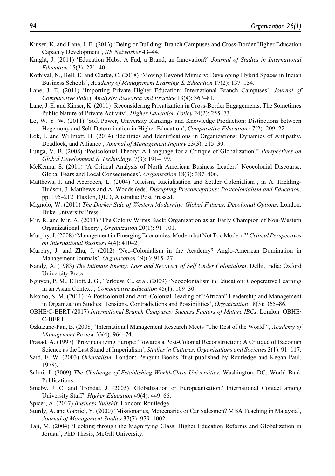- Kinser, K. and Lane, J. E. (2013) 'Being or Building: Branch Campuses and Cross-Border Higher Education Capacity Development', *IIE Networker* 43–44.
- Knight, J. (2011) 'Education Hubs: A Fad, a Brand, an Innovation?' *Journal of Studies in International Education* 15(3): 221–40.
- Kothiyal, N., Bell, E. and Clarke, C. (2018) 'Moving Beyond Mimicry: Developing Hybrid Spaces in Indian Business Schools', *Academy of Management Learning & Education* 17(2): 137–154.
- Lane, J. E. (2011) 'Importing Private Higher Education: International Branch Campuses', *Journal of Comparative Policy Analysis: Research and Practice* 13(4): 367–81.
- Lane, J. E. and Kinser, K. (2011) 'Reconsidering Privatization in Cross-Border Engagements: The Sometimes Public Nature of Private Activity', *Higher Education Policy* 24(2): 255–73.
- Lo, W. Y. W. (2011) 'Soft Power, University Rankings and Knowledge Production: Distinctions between Hegemony and Self-Determination in Higher Education', *Comparative Education* 47(2): 209–22.
- Lok, J. and Willmott, H. (2014) 'Identities and Identifications in Organizations: Dynamics of Antipathy, Deadlock, and Alliance', *Journal of Management Inquiry* 23(3): 215–30.
- Lunga, V. B. (2008) 'Postcolonial Theory: A Language for a Critique of Globalization?' *Perspectives on Global Development & Technology*, 7(3): 191–199.
- McKenna, S. (2011) 'A Critical Analysis of North American Business Leaders' Neocolonial Discourse: Global Fears and Local Consequences', *Organization* 18(3): 387–406.
- Matthews, J. and Aberdeen, L. (2004) 'Racism, Racialisation and Settler Colonialism', in A. Hickling-Hudson, J. Matthews and A. Woods (eds) *Disrupting Preconceptions: Postcolonialism and Education*, pp. 195–212. Flaxton, QLD, Australia: Post Pressed.
- Mignolo, W. (2011) *The Darker Side of Western Modernity: Global Futures, Decolonial Options*. London: Duke University Press.
- Mir, R. and Mir, A. (2013) 'The Colony Writes Back: Organization as an Early Champion of Non-Western Organizational Theory', *Organization* 20(1): 91–101.
- Murphy, J. (2008) 'Management in Emerging Economies: Modern but Not Too Modern?' *Critical Perspectives on International Business* 4(4): 410–21.
- Murphy, J. and Zhu, J. (2012) 'Neo-Colonialism in the Academy? Anglo-American Domination in Management Journals', *Organization* 19(6): 915–27.
- Nandy, A. (1983) *The Intimate Enemy: Loss and Recovery of Self Under Colonialism*. Delhi, India: Oxford University Press.
- Nguyen, P. M., Elliott, J. G., Terlouw, C., et al. (2009) 'Neocolonialism in Education: Cooperative Learning in an Asian Context', *Comparative Education* 45(1): 109–30.
- Nkomo, S. M. (2011) 'A Postcolonial and Anti-Colonial Reading of "African" Leadership and Management in Organization Studies: Tensions, Contradictions and Possibilities', *Organization* 18(3): 365–86.
- OBHE/C-BERT (2017) *International Branch Campuses: Success Factors of Mature IBCs*. London: OBHE/ C-BERT.
- Özkazanç-Pan, B. (2008) 'International Management Research Meets "The Rest of the World"', *Academy of Management Review* 33(4): 964–74.
- Prasad, A. (1997) 'Provincializing Europe: Towards a Post-Colonial Reconstruction: A Critique of Baconian Science as the Last Stand of Imperialism', *Studies in Cultures, Organizations and Societies* 3(1): 91–117.
- Said, E. W. (2003) *Orientalism*. London: Penguin Books (first published by Routledge and Kegan Paul, 1978).
- Salmi, J. (2009) *The Challenge of Establishing World-Class Universities*. Washington, DC: World Bank Publications.
- Smeby, J. C. and Trondal, J. (2005) 'Globalisation or Europeanisation? International Contact among University Staff', *Higher Education* 49(4): 449–66.
- Spicer, A. (2017) *Business Bullshit*. London: Routledge.
- Sturdy, A. and Gabriel, Y. (2000) 'Missionaries, Mercenaries or Car Salesmen? MBA Teaching in Malaysia', *Journal of Management Studies* 37(7): 979–1002.
- Taji, M. (2004) 'Looking through the Magnifying Glass: Higher Education Reforms and Globalization in Jordan', PhD Thesis, McGill University.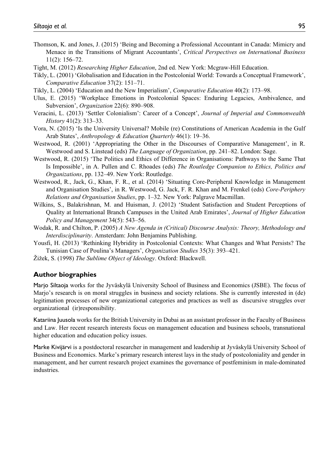- Thomson, K. and Jones, J. (2015) 'Being and Becoming a Professional Accountant in Canada: Mimicry and Menace in the Transitions of Migrant Accountants', *Critical Perspectives on International Business* 11(2): 156–72.
- Tight, M. (2012) *Researching Higher Education*, 2nd ed. New York: Mcgraw-Hill Education.
- Tikly, L. (2001) 'Globalisation and Education in the Postcolonial World: Towards a Conceptual Framework', *Comparative Education* 37(2): 151–71.
- Tikly, L. (2004) 'Education and the New Imperialism', *Comparative Education* 40(2): 173–98.
- Ulus, E. (2015) 'Workplace Emotions in Postcolonial Spaces: Enduring Legacies, Ambivalence, and Subversion', *Organization* 22(6): 890–908.
- Veracini, L. (2013) 'Settler Colonialism': Career of a Concept', *Journal of Imperial and Commonwealth History* 41(2): 313–33.
- Vora, N. (2015) 'Is the University Universal? Mobile (re) Constitutions of American Academia in the Gulf Arab States', *Anthropology & Education Quarterly* 46(1): 19–36.
- Westwood, R. (2001) 'Appropriating the Other in the Discourses of Comparative Management', in R. Westwood and S. Linstead (eds) *The Language of Organization*, pp. 241–82. London: Sage.
- Westwood, R. (2015) 'The Politics and Ethics of Difference in Organisations: Pathways to the Same That Is Impossible', in A. Pullen and C. Rhoades (eds) *The Routledge Companion to Ethics, Politics and Organizations*, pp. 132–49. New York: Routledge.
- Westwood, R., Jack, G., Khan, F. R., et al. (2014) 'Situating Core-Peripheral Knowledge in Management and Organisation Studies', in R. Westwood, G. Jack, F. R. Khan and M. Frenkel (eds) *Core-Periphery Relations and Organisation Studies*, pp. 1–32. New York: Palgrave Macmillan.
- Wilkins, S., Balakrishnan, M. and Huisman, J. (2012) 'Student Satisfaction and Student Perceptions of Quality at International Branch Campuses in the United Arab Emirates', *Journal of Higher Education Policy and Management* 34(5): 543–56.
- Wodak, R. and Chilton, P. (2005) *A New Agenda in (Critical) Discourse Analysis: Theory, Methodology and Interdisciplinarity*. Amsterdam: John Benjamins Publishing.
- Yousfi, H. (2013) 'Rethinking Hybridity in Postcolonial Contexts: What Changes and What Persists? The Tunisian Case of Poulina's Managers', *Organization Studies* 35(3): 393–421.
- Žižek, S. (1998) *The Sublime Object of Ideology*. Oxford: Blackwell.

#### **Author biographies**

Marjo Siltaoja works for the Jyväskylä University School of Business and Economics (JSBE). The focus of Marjo's research is on moral struggles in business and society relations. She is currently interested in (de) legitimation processes of new organizational categories and practices as well as discursive struggles over organizational (ir)responsibility.

Katariina Juusola works for the British University in Dubai as an assistant professor in the Faculty of Business and Law. Her recent research interests focus on management education and business schools, transnational higher education and education policy issues.

Marke Kivijärvi is a postdoctoral researcher in management and leadership at Jyväskylä University School of Business and Economics. Marke's primary research interest lays in the study of postcoloniality and gender in management, and her current research project examines the governance of postfeminism in male-dominated industries.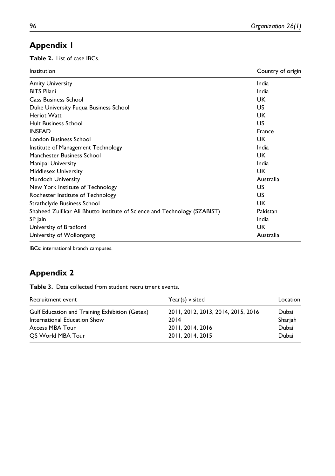## **Appendix 1**

**Table 2.** List of case IBCs.

| Institution                                                               | Country of origin |
|---------------------------------------------------------------------------|-------------------|
| <b>Amity University</b>                                                   | India             |
| <b>BITS Pilani</b>                                                        | India             |
| Cass Business School                                                      | UK                |
| Duke University Fugua Business School                                     | US                |
| Heriot Watt                                                               | UK                |
| <b>Hult Business School</b>                                               | US                |
| <b>INSEAD</b>                                                             | France            |
| London Business School                                                    | UK.               |
| Institute of Management Technology                                        | India             |
| Manchester Business School                                                | UK.               |
| Manipal University                                                        | India             |
| Middlesex University                                                      | UK                |
| Murdoch University                                                        | Australia         |
| New York Institute of Technology                                          | US                |
| Rochester Institute of Technology                                         | US                |
| Strathclyde Business School                                               | UK                |
| Shaheed Zulfikar Ali Bhutto Institute of Science and Technology (SZABIST) | Pakistan          |
| SP Jain                                                                   | India             |
| University of Bradford                                                    | UK                |
| University of Wollongong                                                  | Australia         |

IBCs: international branch campuses.

## **Appendix 2**

**Table 3.** Data collected from student recruitment events.

| Recruitment event                              | Year(s) visited                    | Location |
|------------------------------------------------|------------------------------------|----------|
| Gulf Education and Training Exhibition (Getex) | 2011, 2012, 2013, 2014, 2015, 2016 | Dubai    |
| International Education Show                   | 2014                               | Sharjah  |
| <b>Access MBA Tour</b>                         | 2011, 2014, 2016                   | Dubai    |
| OS World MBA Tour                              | 2011, 2014, 2015                   | Dubai    |